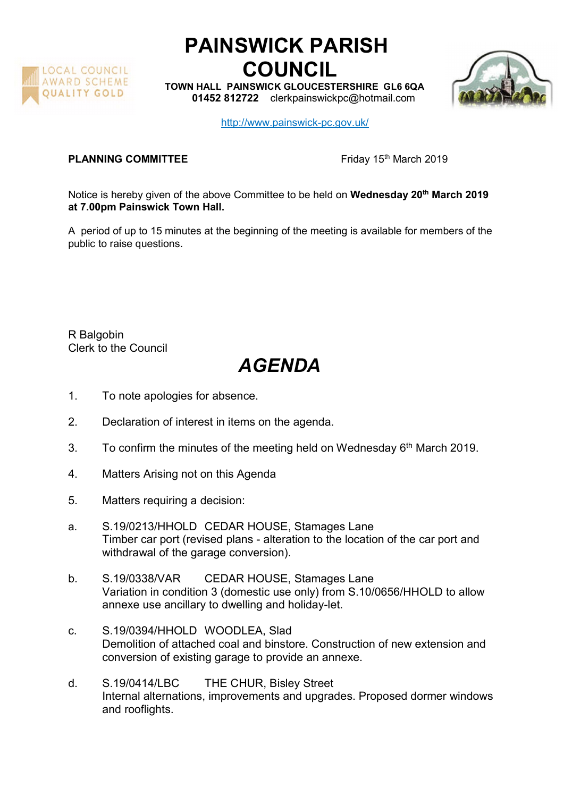

## PAINSWICK PARISH COUNCIL

TOWN HALL PAINSWICK GLOUCESTERSHIRE GL6 6QA 01452 812722 clerkpainswickpc@hotmail.com



http://www.painswick-pc.gov.uk/

## PLANNING COMMITTEE Friday 15<sup>th</sup> March 2019

Notice is hereby given of the above Committee to be held on Wednesday 20<sup>th</sup> March 2019 at 7.00pm Painswick Town Hall.

A period of up to 15 minutes at the beginning of the meeting is available for members of the public to raise questions.

R Balgobin Clerk to the Council

## AGENDA

- 1. To note apologies for absence.
- 2. Declaration of interest in items on the agenda.
- 3. To confirm the minutes of the meeting held on Wednesday  $6<sup>th</sup>$  March 2019.
- 4. Matters Arising not on this Agenda
- 5. Matters requiring a decision:
- a. S.19/0213/HHOLD CEDAR HOUSE, Stamages Lane Timber car port (revised plans - alteration to the location of the car port and withdrawal of the garage conversion).
- b. S.19/0338/VAR CEDAR HOUSE, Stamages Lane Variation in condition 3 (domestic use only) from S.10/0656/HHOLD to allow annexe use ancillary to dwelling and holiday-let.
- c. S.19/0394/HHOLD WOODLEA, Slad Demolition of attached coal and binstore. Construction of new extension and conversion of existing garage to provide an annexe.
- d. S.19/0414/LBC THE CHUR, Bisley Street Internal alternations, improvements and upgrades. Proposed dormer windows and rooflights.